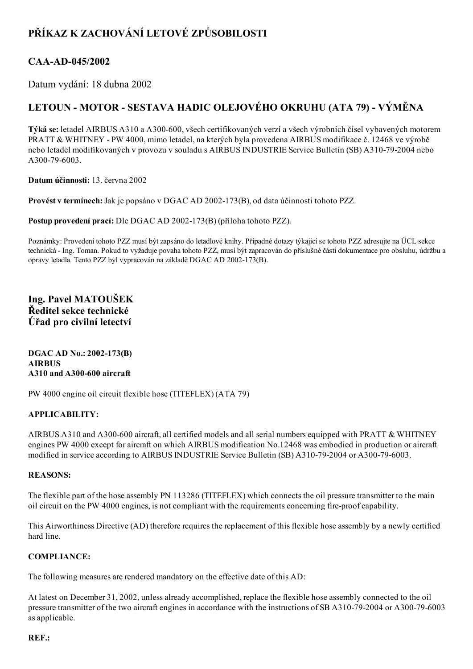# PŘÍKAZ K ZACHOVÁNÍ LETOVÉ ZPŮSOBILOSTI

## CAA-AD-045/2002

Datum vydání: 18 dubna 2002

## LETOUN - MOTOR - SESTAVA HADIC OLEJOVÉHO OKRUHU (ATA 79) - VÝMĚNA

Týká se: letadel AIRBUS A310 a A300-600, všech certifikovaných verzí a všech výrobních čísel vybavených motorem PRATT & WHITNEY PW 4000, mimo letadel, na kterých byla provedena AIRBUS modifikace č. 12468 ve výrobě nebo letadel modifikovaných v provozu v souladu s AIRBUS INDUSTRIE Service Bulletin (SB) A310792004 nebo A300-79-6003.

Datum účinnosti: 13. června 2002

Provést v termínech: Jak je popsáno v DGAC AD 2002-173(B), od data účinnosti tohoto PZZ.

Postup provedení prací: Dle DGAC AD 2002-173(B) (příloha tohoto PZZ).

Poznámky: Provedení tohoto PZZ musí být zapsáno do letadlové knihy. Případné dotazy týkající se tohoto PZZ adresujte na ÚCL sekce technická Ing. Toman. Pokud to vyžaduje povaha tohoto PZZ, musí být zapracován do příslušné části dokumentace pro obsluhu, údržbu a opravy letadla. Tento PZZ byl vypracován na základě DGAC AD 2002-173(B).

Ing. Pavel MATOUŠEK Ředitel sekce technické Úřad pro civilní letectví

DGAC AD No.: 2002-173(B) AIRBUS  $A310$  and  $A300-600$  aircraft

PW 4000 engine oil circuit flexible hose (TITEFLEX) (ATA 79)

#### APPLICABILITY:

AIRBUS A310 and A300-600 aircraft, all certified models and all serial numbers equipped with PRATT & WHITNEY engines PW 4000 except for aircraft on which AIRBUS modification No.12468 was embodied in production or aircraft modified in service according to AIRBUS INDUSTRIE Service Bulletin (SB) A310-79-2004 or A300-79-6003.

#### REASONS:

The flexible part of the hose assembly PN 113286 (TITEFLEX) which connects the oil pressure transmitter to the main oil circuit on the PW 4000 engines, is not compliant with the requirements concerning fire-proof capability.

This Airworthiness Directive (AD) therefore requires the replacement of this flexible hose assembly by a newly certified hard line.

#### COMPLIANCE:

The following measures are rendered mandatory on the effective date of this AD:

At latest on December 31, 2002, unless already accomplished, replace the flexible hose assembly connected to the oil pressure transmitter of the two aircraft engines in accordance with the instructions of SB A310-79-2004 or A300-79-6003 as applicable.